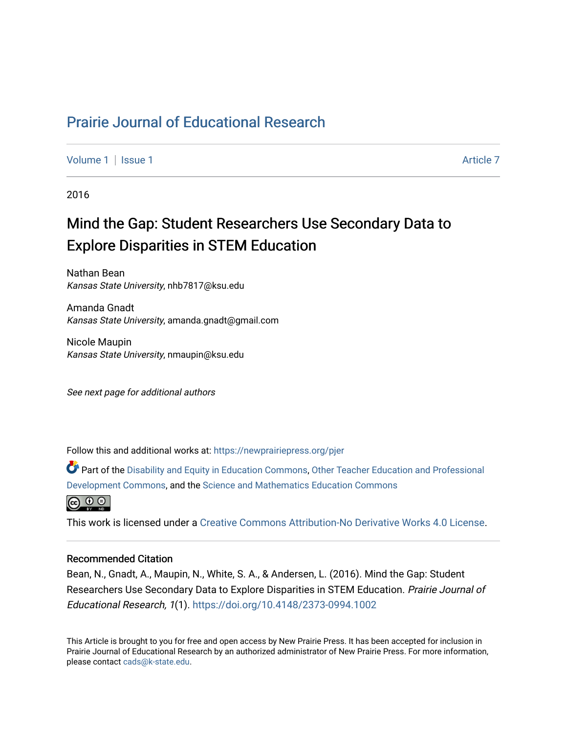# [Prairie Journal of Educational Research](https://newprairiepress.org/pjer)

[Volume 1](https://newprairiepress.org/pjer/vol1) | [Issue 1](https://newprairiepress.org/pjer/vol1/iss1) Article 7

2016

# Mind the Gap: Student Researchers Use Secondary Data to Explore Disparities in STEM Education

Nathan Bean Kansas State University, nhb7817@ksu.edu

Amanda Gnadt Kansas State University, amanda.gnadt@gmail.com

Nicole Maupin Kansas State University, nmaupin@ksu.edu

See next page for additional authors

Follow this and additional works at: [https://newprairiepress.org/pjer](https://newprairiepress.org/pjer?utm_source=newprairiepress.org%2Fpjer%2Fvol1%2Fiss1%2F7&utm_medium=PDF&utm_campaign=PDFCoverPages) 

Part of the [Disability and Equity in Education Commons](http://network.bepress.com/hgg/discipline/1040?utm_source=newprairiepress.org%2Fpjer%2Fvol1%2Fiss1%2F7&utm_medium=PDF&utm_campaign=PDFCoverPages), [Other Teacher Education and Professional](http://network.bepress.com/hgg/discipline/810?utm_source=newprairiepress.org%2Fpjer%2Fvol1%2Fiss1%2F7&utm_medium=PDF&utm_campaign=PDFCoverPages) [Development Commons](http://network.bepress.com/hgg/discipline/810?utm_source=newprairiepress.org%2Fpjer%2Fvol1%2Fiss1%2F7&utm_medium=PDF&utm_campaign=PDFCoverPages), and the [Science and Mathematics Education Commons](http://network.bepress.com/hgg/discipline/800?utm_source=newprairiepress.org%2Fpjer%2Fvol1%2Fiss1%2F7&utm_medium=PDF&utm_campaign=PDFCoverPages) 



This work is licensed under a [Creative Commons Attribution-No Derivative Works 4.0 License.](https://creativecommons.org/licenses/by-nd/4.0/)

#### Recommended Citation

Bean, N., Gnadt, A., Maupin, N., White, S. A., & Andersen, L. (2016). Mind the Gap: Student Researchers Use Secondary Data to Explore Disparities in STEM Education. Prairie Journal of Educational Research, 1(1).<https://doi.org/10.4148/2373-0994.1002>

This Article is brought to you for free and open access by New Prairie Press. It has been accepted for inclusion in Prairie Journal of Educational Research by an authorized administrator of New Prairie Press. For more information, please contact [cads@k-state.edu.](mailto:cads@k-state.edu)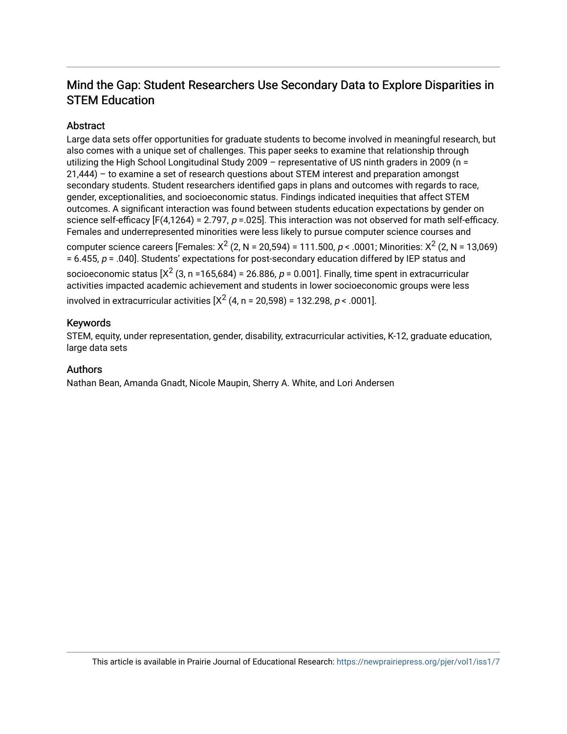# Mind the Gap: Student Researchers Use Secondary Data to Explore Disparities in STEM Education

# Abstract

Large data sets offer opportunities for graduate students to become involved in meaningful research, but also comes with a unique set of challenges. This paper seeks to examine that relationship through utilizing the High School Longitudinal Study 2009 – representative of US ninth graders in 2009 (n = 21,444) – to examine a set of research questions about STEM interest and preparation amongst secondary students. Student researchers identified gaps in plans and outcomes with regards to race, gender, exceptionalities, and socioeconomic status. Findings indicated inequities that affect STEM outcomes. A significant interaction was found between students education expectations by gender on science self-efficacy  $[F(4,1264) = 2.797$ ,  $p = 0.025$ . This interaction was not observed for math self-efficacy. Females and underrepresented minorities were less likely to pursue computer science courses and

computer science careers [Females: X<sup>2</sup> (2, N = 20,594) = 111.500, p < .0001; Minorities: X<sup>2</sup> (2, N = 13,069)  $= 6.455$ ,  $p = .040$ . Students' expectations for post-secondary education differed by IEP status and socioeconomic status [X $^2$  (3, n =165,684) = 26.886, p = 0.001]. Finally, time spent in extracurricular activities impacted academic achievement and students in lower socioeconomic groups were less involved in extracurricular activities [X $^{2}$  (4, n = 20,598) = 132.298, *p* < .0001].

# Keywords

STEM, equity, under representation, gender, disability, extracurricular activities, K-12, graduate education, large data sets

## Authors

Nathan Bean, Amanda Gnadt, Nicole Maupin, Sherry A. White, and Lori Andersen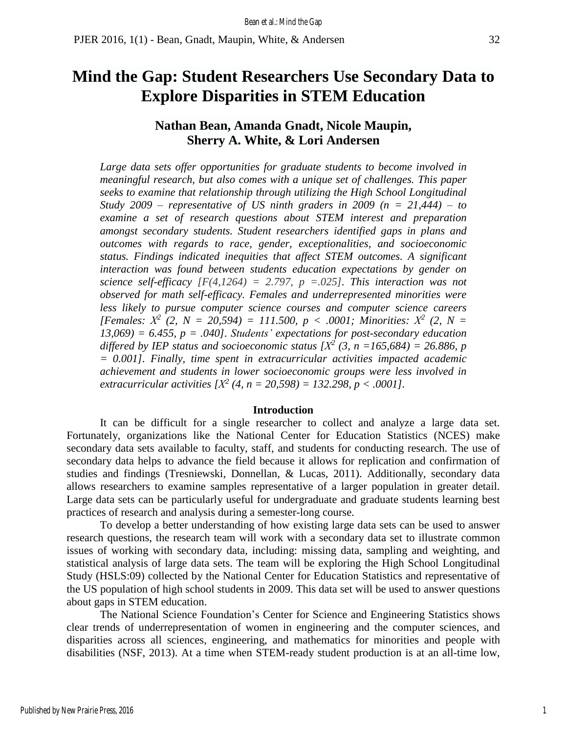# **Mind the Gap: Student Researchers Use Secondary Data to Explore Disparities in STEM Education**

# **Nathan Bean, Amanda Gnadt, Nicole Maupin, Sherry A. White, & Lori Andersen**

*Large data sets offer opportunities for graduate students to become involved in meaningful research, but also comes with a unique set of challenges. This paper seeks to examine that relationship through utilizing the High School Longitudinal Study* 2009 – *representative* of *US ninth graders in* 2009 ( $n = 21,444$ ) – *to examine a set of research questions about STEM interest and preparation amongst secondary students. Student researchers identified gaps in plans and outcomes with regards to race, gender, exceptionalities, and socioeconomic status. Findings indicated inequities that affect STEM outcomes. A significant interaction was found between students education expectations by gender on science self-efficacy [F(4,1264) = 2.797, p =.025]. This interaction was not observed for math self-efficacy. Females and underrepresented minorities were less likely to pursue computer science courses and computer science careers [Females: Χ 2 (2, N = 20,594) = 111.500, p < .0001; Minorities: Χ 2 (2, N = 13,069) = 6.455, p = .040]. Students' expectations for post-secondary education differed by IEP status and socioeconomic status*  $[X^2 (3, n = 165,684) = 26.886, p$ *= 0.001]. Finally, time spent in extracurricular activities impacted academic achievement and students in lower socioeconomic groups were less involved in extracurricular activities [Χ 2 (4, n = 20,598) = 132.298, p < .0001].*

#### **Introduction**

It can be difficult for a single researcher to collect and analyze a large data set. Fortunately, organizations like the National Center for Education Statistics (NCES) make secondary data sets available to faculty, staff, and students for conducting research. The use of secondary data helps to advance the field because it allows for replication and confirmation of studies and findings (Tresniewski, Donnellan, & Lucas, 2011). Additionally, secondary data allows researchers to examine samples representative of a larger population in greater detail. Large data sets can be particularly useful for undergraduate and graduate students learning best practices of research and analysis during a semester-long course.

To develop a better understanding of how existing large data sets can be used to answer research questions, the research team will work with a secondary data set to illustrate common issues of working with secondary data, including: missing data, sampling and weighting, and statistical analysis of large data sets. The team will be exploring the High School Longitudinal Study (HSLS:09) collected by the National Center for Education Statistics and representative of the US population of high school students in 2009. This data set will be used to answer questions about gaps in STEM education.

The National Science Foundation's Center for Science and Engineering Statistics shows clear trends of underrepresentation of women in engineering and the computer sciences, and disparities across all sciences, engineering, and mathematics for minorities and people with disabilities (NSF, 2013). At a time when STEM-ready student production is at an all-time low,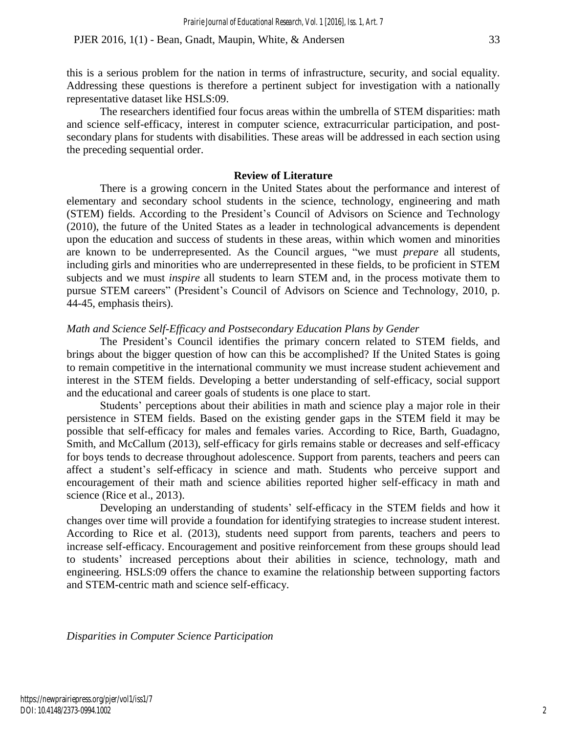this is a serious problem for the nation in terms of infrastructure, security, and social equality. Addressing these questions is therefore a pertinent subject for investigation with a nationally representative dataset like HSLS:09.

The researchers identified four focus areas within the umbrella of STEM disparities: math and science self-efficacy, interest in computer science, extracurricular participation, and postsecondary plans for students with disabilities. These areas will be addressed in each section using the preceding sequential order.

#### **Review of Literature**

There is a growing concern in the United States about the performance and interest of elementary and secondary school students in the science, technology, engineering and math (STEM) fields. According to the President's Council of Advisors on Science and Technology (2010), the future of the United States as a leader in technological advancements is dependent upon the education and success of students in these areas, within which women and minorities are known to be underrepresented. As the Council argues, "we must *prepare* all students, including girls and minorities who are underrepresented in these fields, to be proficient in STEM subjects and we must *inspire* all students to learn STEM and, in the process motivate them to pursue STEM careers" (President's Council of Advisors on Science and Technology, 2010, p. 44-45, emphasis theirs).

#### *Math and Science Self-Efficacy and Postsecondary Education Plans by Gender*

The President's Council identifies the primary concern related to STEM fields, and brings about the bigger question of how can this be accomplished? If the United States is going to remain competitive in the international community we must increase student achievement and interest in the STEM fields. Developing a better understanding of self-efficacy, social support and the educational and career goals of students is one place to start.

Students' perceptions about their abilities in math and science play a major role in their persistence in STEM fields. Based on the existing gender gaps in the STEM field it may be possible that self-efficacy for males and females varies. According to Rice, Barth, Guadagno, Smith, and McCallum (2013), self-efficacy for girls remains stable or decreases and self-efficacy for boys tends to decrease throughout adolescence. Support from parents, teachers and peers can affect a student's self-efficacy in science and math. Students who perceive support and encouragement of their math and science abilities reported higher self-efficacy in math and science (Rice et al., 2013).

Developing an understanding of students' self-efficacy in the STEM fields and how it changes over time will provide a foundation for identifying strategies to increase student interest. According to Rice et al. (2013), students need support from parents, teachers and peers to increase self-efficacy. Encouragement and positive reinforcement from these groups should lead to students' increased perceptions about their abilities in science, technology, math and engineering. HSLS:09 offers the chance to examine the relationship between supporting factors and STEM-centric math and science self-efficacy.

*Disparities in Computer Science Participation*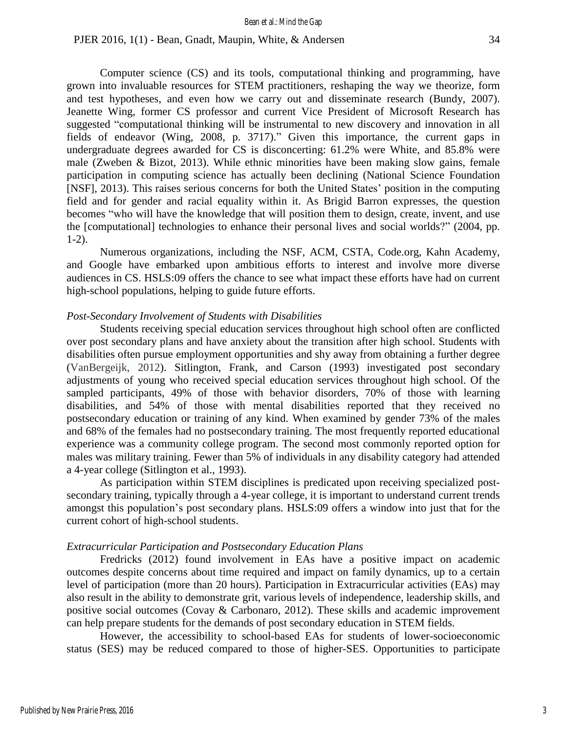Computer science (CS) and its tools, computational thinking and programming, have grown into invaluable resources for STEM practitioners, reshaping the way we theorize, form and test hypotheses, and even how we carry out and disseminate research (Bundy, 2007). Jeanette Wing, former CS professor and current Vice President of Microsoft Research has suggested "computational thinking will be instrumental to new discovery and innovation in all fields of endeavor (Wing, 2008, p. 3717)." Given this importance, the current gaps in undergraduate degrees awarded for CS is disconcerting: 61.2% were White, and 85.8% were male (Zweben & Bizot, 2013). While ethnic minorities have been making slow gains, female participation in computing science has actually been declining (National Science Foundation [NSF], 2013). This raises serious concerns for both the United States' position in the computing field and for gender and racial equality within it. As Brigid Barron expresses, the question becomes "who will have the knowledge that will position them to design, create, invent, and use the [computational] technologies to enhance their personal lives and social worlds?" (2004, pp. 1-2).

Numerous organizations, including the NSF, ACM, CSTA, Code.org, Kahn Academy, and Google have embarked upon ambitious efforts to interest and involve more diverse audiences in CS. HSLS:09 offers the chance to see what impact these efforts have had on current high-school populations, helping to guide future efforts.

#### *Post-Secondary Involvement of Students with Disabilities*

Students receiving special education services throughout high school often are conflicted over post secondary plans and have anxiety about the transition after high school. Students with disabilities often pursue employment opportunities and shy away from obtaining a further degree (VanBergeijk, 2012). Sitlington, Frank, and Carson (1993) investigated post secondary adjustments of young who received special education services throughout high school. Of the sampled participants, 49% of those with behavior disorders, 70% of those with learning disabilities, and 54% of those with mental disabilities reported that they received no postsecondary education or training of any kind. When examined by gender 73% of the males and 68% of the females had no postsecondary training. The most frequently reported educational experience was a community college program. The second most commonly reported option for males was military training. Fewer than 5% of individuals in any disability category had attended a 4-year college (Sitlington et al., 1993).

As participation within STEM disciplines is predicated upon receiving specialized postsecondary training, typically through a 4-year college, it is important to understand current trends amongst this population's post secondary plans. HSLS:09 offers a window into just that for the current cohort of high-school students.

#### *Extracurricular Participation and Postsecondary Education Plans*

Fredricks (2012) found involvement in EAs have a positive impact on academic outcomes despite concerns about time required and impact on family dynamics, up to a certain level of participation (more than 20 hours). Participation in Extracurricular activities (EAs) may also result in the ability to demonstrate grit, various levels of independence, leadership skills, and positive social outcomes (Covay & Carbonaro, 2012). These skills and academic improvement can help prepare students for the demands of post secondary education in STEM fields.

However, the accessibility to school-based EAs for students of lower-socioeconomic status (SES) may be reduced compared to those of higher-SES. Opportunities to participate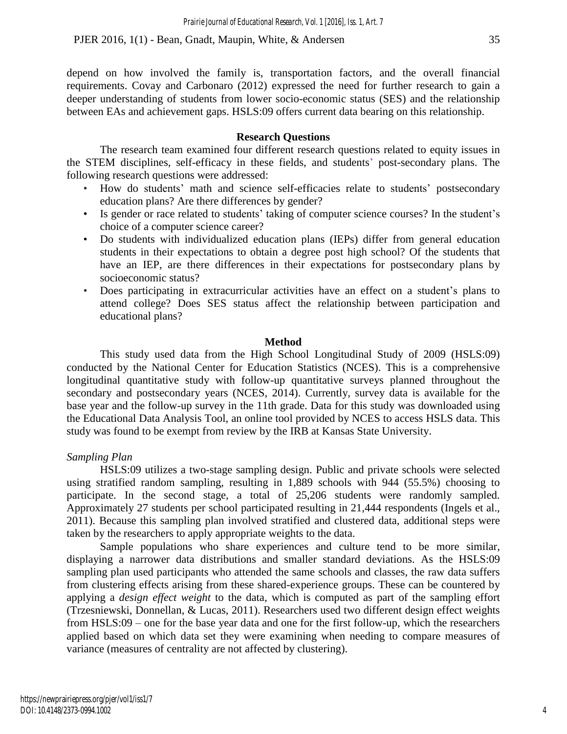depend on how involved the family is, transportation factors, and the overall financial requirements. Covay and Carbonaro (2012) expressed the need for further research to gain a deeper understanding of students from lower socio-economic status (SES) and the relationship between EAs and achievement gaps. HSLS:09 offers current data bearing on this relationship.

## **Research Questions**

The research team examined four different research questions related to equity issues in the STEM disciplines, self-efficacy in these fields, and students' post-secondary plans. The following research questions were addressed:

- How do students' math and science self-efficacies relate to students' postsecondary education plans? Are there differences by gender?
- Is gender or race related to students' taking of computer science courses? In the student's choice of a computer science career?
- Do students with individualized education plans (IEPs) differ from general education students in their expectations to obtain a degree post high school? Of the students that have an IEP, are there differences in their expectations for postsecondary plans by socioeconomic status?
- Does participating in extracurricular activities have an effect on a student's plans to attend college? Does SES status affect the relationship between participation and educational plans?

#### **Method**

This study used data from the High School Longitudinal Study of 2009 (HSLS:09) conducted by the National Center for Education Statistics (NCES). This is a comprehensive longitudinal quantitative study with follow-up quantitative surveys planned throughout the secondary and postsecondary years (NCES, 2014). Currently, survey data is available for the base year and the follow-up survey in the 11th grade. Data for this study was downloaded using the Educational Data Analysis Tool, an online tool provided by NCES to access HSLS data. This study was found to be exempt from review by the IRB at Kansas State University.

## *Sampling Plan*

HSLS:09 utilizes a two-stage sampling design. Public and private schools were selected using stratified random sampling, resulting in 1,889 schools with 944 (55.5%) choosing to participate. In the second stage, a total of 25,206 students were randomly sampled. Approximately 27 students per school participated resulting in 21,444 respondents (Ingels et al., 2011). Because this sampling plan involved stratified and clustered data, additional steps were taken by the researchers to apply appropriate weights to the data.

Sample populations who share experiences and culture tend to be more similar, displaying a narrower data distributions and smaller standard deviations. As the HSLS:09 sampling plan used participants who attended the same schools and classes, the raw data suffers from clustering effects arising from these shared-experience groups. These can be countered by applying a *design effect weight* to the data, which is computed as part of the sampling effort (Trzesniewski, Donnellan, & Lucas, 2011). Researchers used two different design effect weights from HSLS:09 – one for the base year data and one for the first follow-up, which the researchers applied based on which data set they were examining when needing to compare measures of variance (measures of centrality are not affected by clustering).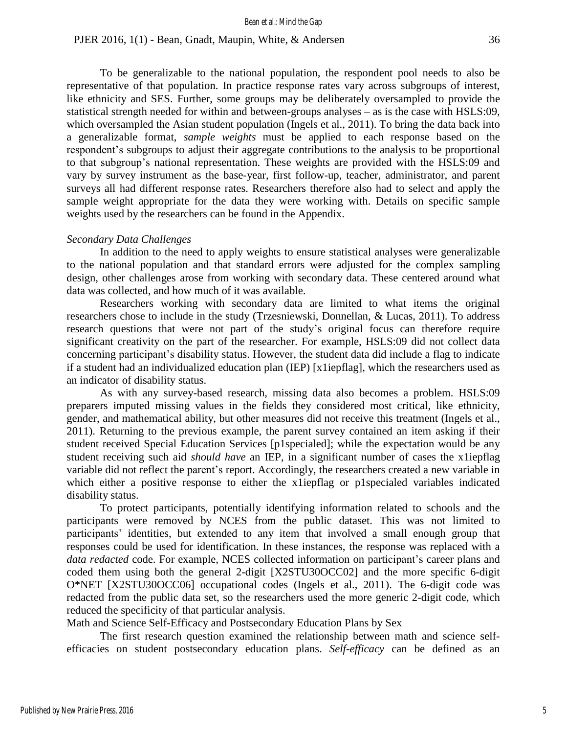To be generalizable to the national population, the respondent pool needs to also be representative of that population. In practice response rates vary across subgroups of interest, like ethnicity and SES. Further, some groups may be deliberately oversampled to provide the statistical strength needed for within and between-groups analyses – as is the case with HSLS:09, which oversampled the Asian student population (Ingels et al., 2011). To bring the data back into a generalizable format, *sample weights* must be applied to each response based on the respondent's subgroups to adjust their aggregate contributions to the analysis to be proportional to that subgroup's national representation. These weights are provided with the HSLS:09 and vary by survey instrument as the base-year, first follow-up, teacher, administrator, and parent surveys all had different response rates. Researchers therefore also had to select and apply the sample weight appropriate for the data they were working with. Details on specific sample weights used by the researchers can be found in the Appendix.

#### *Secondary Data Challenges*

In addition to the need to apply weights to ensure statistical analyses were generalizable to the national population and that standard errors were adjusted for the complex sampling design, other challenges arose from working with secondary data. These centered around what data was collected, and how much of it was available.

Researchers working with secondary data are limited to what items the original researchers chose to include in the study (Trzesniewski, Donnellan, & Lucas, 2011). To address research questions that were not part of the study's original focus can therefore require significant creativity on the part of the researcher. For example, HSLS:09 did not collect data concerning participant's disability status. However, the student data did include a flag to indicate if a student had an individualized education plan (IEP) [x1iepflag], which the researchers used as an indicator of disability status.

As with any survey-based research, missing data also becomes a problem. HSLS:09 preparers imputed missing values in the fields they considered most critical, like ethnicity, gender, and mathematical ability, but other measures did not receive this treatment (Ingels et al., 2011). Returning to the previous example, the parent survey contained an item asking if their student received Special Education Services [p1specialed]; while the expectation would be any student receiving such aid *should have* an IEP, in a significant number of cases the x1iepflag variable did not reflect the parent's report. Accordingly, the researchers created a new variable in which either a positive response to either the x1iepflag or p1specialed variables indicated disability status.

To protect participants, potentially identifying information related to schools and the participants were removed by NCES from the public dataset. This was not limited to participants' identities, but extended to any item that involved a small enough group that responses could be used for identification. In these instances, the response was replaced with a *data redacted* code. For example, NCES collected information on participant's career plans and coded them using both the general 2-digit [X2STU30OCC02] and the more specific 6-digit O\*NET [X2STU30OCC06] occupational codes (Ingels et al., 2011). The 6-digit code was redacted from the public data set, so the researchers used the more generic 2-digit code, which reduced the specificity of that particular analysis.

Math and Science Self-Efficacy and Postsecondary Education Plans by Sex

The first research question examined the relationship between math and science selfefficacies on student postsecondary education plans. *Self-efficacy* can be defined as an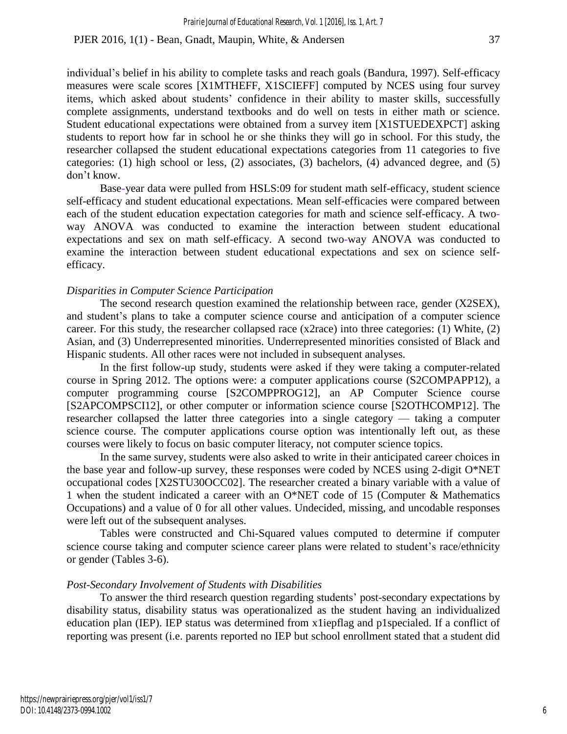individual's belief in his ability to complete tasks and reach goals (Bandura, 1997). Self-efficacy measures were scale scores [X1MTHEFF, X1SCIEFF] computed by NCES using four survey items, which asked about students' confidence in their ability to master skills, successfully complete assignments, understand textbooks and do well on tests in either math or science. Student educational expectations were obtained from a survey item [X1STUEDEXPCT] asking students to report how far in school he or she thinks they will go in school. For this study, the researcher collapsed the student educational expectations categories from 11 categories to five categories: (1) high school or less, (2) associates, (3) bachelors, (4) advanced degree, and (5) don't know.

Base-year data were pulled from HSLS:09 for student math self-efficacy, student science self-efficacy and student educational expectations. Mean self-efficacies were compared between each of the student education expectation categories for math and science self-efficacy. A twoway ANOVA was conducted to examine the interaction between student educational expectations and sex on math self-efficacy. A second two-way ANOVA was conducted to examine the interaction between student educational expectations and sex on science selfefficacy.

#### *Disparities in Computer Science Participation*

The second research question examined the relationship between race, gender (X2SEX), and student's plans to take a computer science course and anticipation of a computer science career. For this study, the researcher collapsed race (x2race) into three categories: (1) White, (2) Asian, and (3) Underrepresented minorities. Underrepresented minorities consisted of Black and Hispanic students. All other races were not included in subsequent analyses.

In the first follow-up study, students were asked if they were taking a computer-related course in Spring 2012. The options were: a computer applications course (S2COMPAPP12), a computer programming course [S2COMPPROG12], an AP Computer Science course [S2APCOMPSCI12], or other computer or information science course [S2OTHCOMP12]. The researcher collapsed the latter three categories into a single category — taking a computer science course. The computer applications course option was intentionally left out, as these courses were likely to focus on basic computer literacy, not computer science topics.

In the same survey, students were also asked to write in their anticipated career choices in the base year and follow-up survey, these responses were coded by NCES using 2-digit O\*NET occupational codes [X2STU30OCC02]. The researcher created a binary variable with a value of 1 when the student indicated a career with an O\*NET code of 15 (Computer & Mathematics Occupations) and a value of 0 for all other values. Undecided, missing, and uncodable responses were left out of the subsequent analyses.

Tables were constructed and Chi-Squared values computed to determine if computer science course taking and computer science career plans were related to student's race/ethnicity or gender (Tables 3-6).

#### *Post-Secondary Involvement of Students with Disabilities*

To answer the third research question regarding students' post-secondary expectations by disability status, disability status was operationalized as the student having an individualized education plan (IEP). IEP status was determined from x1iepflag and p1specialed. If a conflict of reporting was present (i.e. parents reported no IEP but school enrollment stated that a student did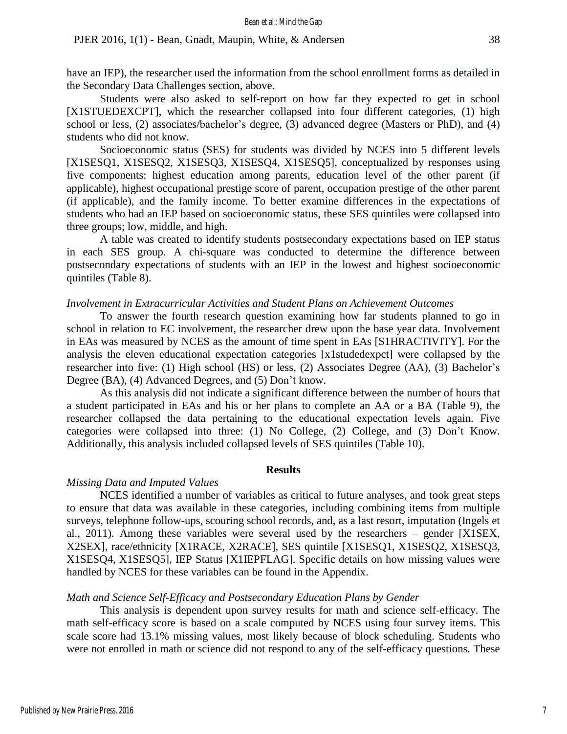have an IEP), the researcher used the information from the school enrollment forms as detailed in the Secondary Data Challenges section, above.

Students were also asked to self-report on how far they expected to get in school [X1STUEDEXCPT], which the researcher collapsed into four different categories, (1) high school or less, (2) associates/bachelor's degree, (3) advanced degree (Masters or PhD), and (4) students who did not know.

Socioeconomic status (SES) for students was divided by NCES into 5 different levels [X1SESQ1, X1SESQ2, X1SESQ3, X1SESQ4, X1SESQ5], conceptualized by responses using five components: highest education among parents, education level of the other parent (if applicable), highest occupational prestige score of parent, occupation prestige of the other parent (if applicable), and the family income. To better examine differences in the expectations of students who had an IEP based on socioeconomic status, these SES quintiles were collapsed into three groups; low, middle, and high.

A table was created to identify students postsecondary expectations based on IEP status in each SES group. A chi-square was conducted to determine the difference between postsecondary expectations of students with an IEP in the lowest and highest socioeconomic quintiles (Table 8).

#### *Involvement in Extracurricular Activities and Student Plans on Achievement Outcomes*

To answer the fourth research question examining how far students planned to go in school in relation to EC involvement, the researcher drew upon the base year data. Involvement in EAs was measured by NCES as the amount of time spent in EAs [S1HRACTIVITY]. For the analysis the eleven educational expectation categories [x1studedexpct] were collapsed by the researcher into five: (1) High school (HS) or less, (2) Associates Degree (AA), (3) Bachelor's Degree (BA), (4) Advanced Degrees, and (5) Don't know.

As this analysis did not indicate a significant difference between the number of hours that a student participated in EAs and his or her plans to complete an AA or a BA (Table 9), the researcher collapsed the data pertaining to the educational expectation levels again. Five categories were collapsed into three: (1) No College, (2) College, and (3) Don't Know. Additionally, this analysis included collapsed levels of SES quintiles (Table 10).

#### **Results**

#### *Missing Data and Imputed Values*

NCES identified a number of variables as critical to future analyses, and took great steps to ensure that data was available in these categories, including combining items from multiple surveys, telephone follow-ups, scouring school records, and, as a last resort, imputation (Ingels et al., 2011). Among these variables were several used by the researchers – gender [X1SEX, X2SEX], race/ethnicity [X1RACE, X2RACE], SES quintile [X1SESQ1, X1SESQ2, X1SESQ3, X1SESQ4, X1SESQ5], IEP Status [X1IEPFLAG]. Specific details on how missing values were handled by NCES for these variables can be found in the Appendix.

#### *Math and Science Self-Efficacy and Postsecondary Education Plans by Gender*

This analysis is dependent upon survey results for math and science self-efficacy. The math self-efficacy score is based on a scale computed by NCES using four survey items. This scale score had 13.1% missing values, most likely because of block scheduling. Students who were not enrolled in math or science did not respond to any of the self-efficacy questions. These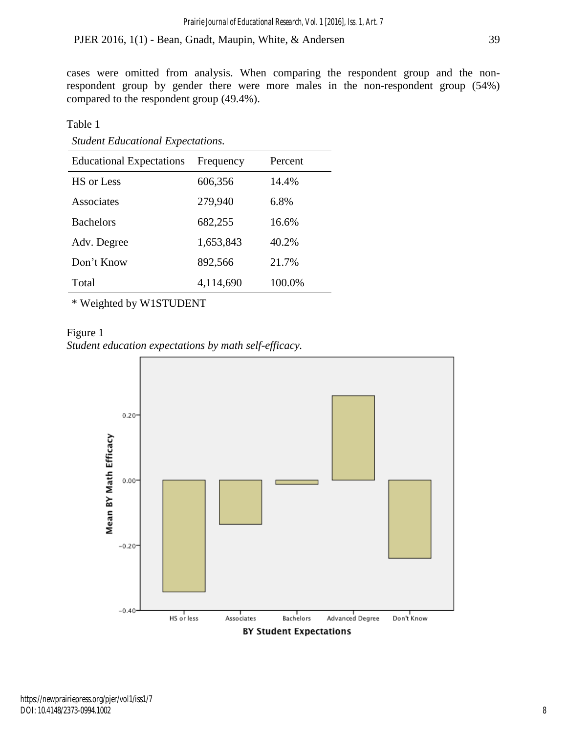cases were omitted from analysis. When comparing the respondent group and the nonrespondent group by gender there were more males in the non-respondent group (54%) compared to the respondent group (49.4%).

Table 1

|  |  | <b>Student Educational Expectations.</b> |
|--|--|------------------------------------------|
|--|--|------------------------------------------|

| <b>Educational Expectations</b> | Frequency | Percent |
|---------------------------------|-----------|---------|
| HS or Less                      | 606,356   | 14.4%   |
| Associates                      | 279,940   | 6.8%    |
| <b>Bachelors</b>                | 682,255   | 16.6%   |
| Adv. Degree                     | 1,653,843 | 40.2%   |
| Don't Know                      | 892,566   | 21.7%   |
| Total                           | 4,114,690 | 100.0%  |

\* Weighted by W1STUDENT

Figure 1 *Student education expectations by math self-efficacy.*

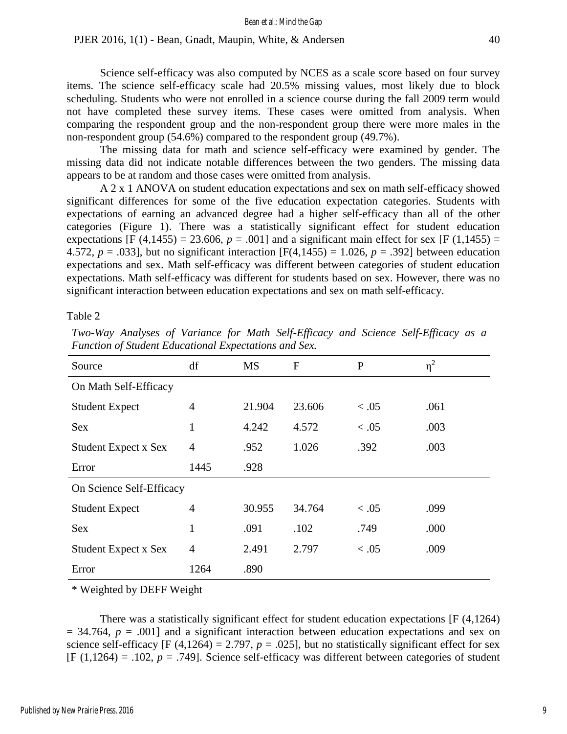Science self-efficacy was also computed by NCES as a scale score based on four survey items. The science self-efficacy scale had 20.5% missing values, most likely due to block scheduling. Students who were not enrolled in a science course during the fall 2009 term would not have completed these survey items. These cases were omitted from analysis. When comparing the respondent group and the non-respondent group there were more males in the non-respondent group (54.6%) compared to the respondent group (49.7%).

The missing data for math and science self-efficacy were examined by gender. The missing data did not indicate notable differences between the two genders. The missing data appears to be at random and those cases were omitted from analysis.

A 2 x 1 ANOVA on student education expectations and sex on math self-efficacy showed significant differences for some of the five education expectation categories. Students with expectations of earning an advanced degree had a higher self-efficacy than all of the other categories (Figure 1). There was a statistically significant effect for student education expectations [F (4,1455) = 23.606,  $p = .001$ ] and a significant main effect for sex [F (1,1455) = 4.572,  $p = .033$ ], but no significant interaction [F(4,1455) = 1.026,  $p = .392$ ] between education expectations and sex. Math self-efficacy was different between categories of student education expectations. Math self-efficacy was different for students based on sex. However, there was no significant interaction between education expectations and sex on math self-efficacy.

Table 2

| Source                      | df             | <b>MS</b> | $\mathbf F$ | $\mathbf{P}$ | $\eta^2$ |
|-----------------------------|----------------|-----------|-------------|--------------|----------|
| On Math Self-Efficacy       |                |           |             |              |          |
| <b>Student Expect</b>       | 4              | 21.904    | 23.606      | < 0.05       | .061     |
| <b>Sex</b>                  | $\mathbf{1}$   | 4.242     | 4.572       | < 0.05       | .003     |
| <b>Student Expect x Sex</b> | 4              | .952      | 1.026       | .392         | .003     |
| Error                       | 1445           | .928      |             |              |          |
| On Science Self-Efficacy    |                |           |             |              |          |
| <b>Student Expect</b>       | 4              | 30.955    | 34.764      | < 0.05       | .099     |
| <b>Sex</b>                  | $\mathbf{1}$   | .091      | .102        | .749         | .000     |
| <b>Student Expect x Sex</b> | $\overline{4}$ | 2.491     | 2.797       | < 0.05       | .009     |
| Error                       | 1264           | .890      |             |              |          |

*Two-Way Analyses of Variance for Math Self-Efficacy and Science Self-Efficacy as a Function of Student Educational Expectations and Sex.*

\* Weighted by DEFF Weight

There was a statistically significant effect for student education expectations [F (4,1264)  $= 34.764$ ,  $p = .001$  and a significant interaction between education expectations and sex on science self-efficacy  $[F (4,1264) = 2.797, p = .025]$ , but no statistically significant effect for sex  $[F (1,1264) = .102, p = .749]$ . Science self-efficacy was different between categories of student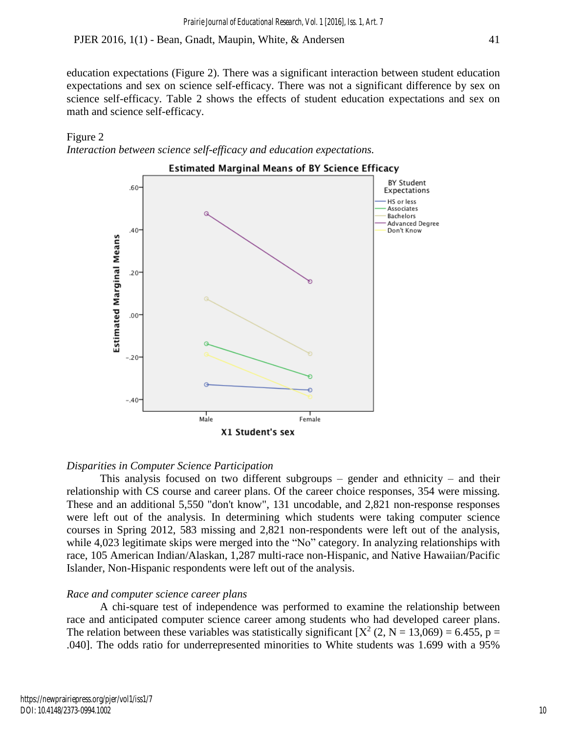education expectations (Figure 2). There was a significant interaction between student education expectations and sex on science self-efficacy. There was not a significant difference by sex on science self-efficacy. Table 2 shows the effects of student education expectations and sex on math and science self-efficacy.





#### *Disparities in Computer Science Participation*

This analysis focused on two different subgroups – gender and ethnicity – and their relationship with CS course and career plans. Of the career choice responses, 354 were missing. These and an additional 5,550 "don't know", 131 uncodable, and 2,821 non-response responses were left out of the analysis. In determining which students were taking computer science courses in Spring 2012, 583 missing and 2,821 non-respondents were left out of the analysis, while 4,023 legitimate skips were merged into the "No" category. In analyzing relationships with race, 105 American Indian/Alaskan, 1,287 multi-race non-Hispanic, and Native Hawaiian/Pacific Islander, Non-Hispanic respondents were left out of the analysis.

## *Race and computer science career plans*

A chi-square test of independence was performed to examine the relationship between race and anticipated computer science career among students who had developed career plans. The relation between these variables was statistically significant  $[X^2 (2, N = 13,069) = 6.455$ , p = .040]. The odds ratio for underrepresented minorities to White students was 1.699 with a 95%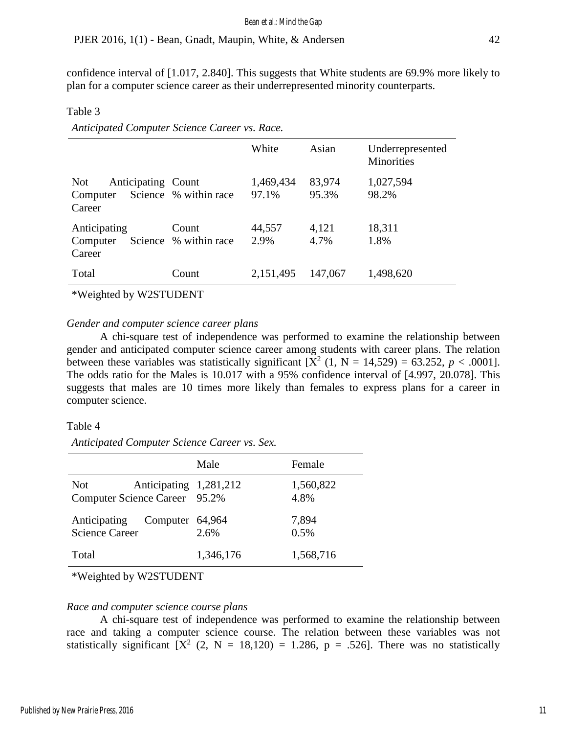confidence interval of [1.017, 2.840]. This suggests that White students are 69.9% more likely to plan for a computer science career as their underrepresented minority counterparts.

Table 3

|                                                        |                                | White              | Asian           | Underrepresented<br><b>Minorities</b> |
|--------------------------------------------------------|--------------------------------|--------------------|-----------------|---------------------------------------|
| <b>Not</b><br>Anticipating Count<br>Computer<br>Career | Science % within race          | 1,469,434<br>97.1% | 83,974<br>95.3% | 1,027,594<br>98.2%                    |
| Anticipating<br>Computer<br>Career                     | Count<br>Science % within race | 44,557<br>2.9%     | 4,121<br>4.7%   | 18,311<br>1.8%                        |
| Total                                                  | Count                          | 2,151,495          | 147,067         | 1,498,620                             |

*Anticipated Computer Science Career vs. Race.*

\*Weighted by W2STUDENT

#### *Gender and computer science career plans*

A chi-square test of independence was performed to examine the relationship between gender and anticipated computer science career among students with career plans. The relation between these variables was statistically significant  $[X^2 (1, N = 14,529) = 63.252, p < .0001]$ . The odds ratio for the Males is 10.017 with a 95% confidence interval of [4.997, 20.078]. This suggests that males are 10 times more likely than females to express plans for a career in computer science.

#### Table 4

*Anticipated Computer Science Career vs. Sex.*

|                                             | Male                    | Female            |
|---------------------------------------------|-------------------------|-------------------|
| <b>Not</b><br>Computer Science Career 95.2% | Anticipating 1,281,212  | 1,560,822<br>4.8% |
| Anticipating<br><b>Science Career</b>       | Computer 64,964<br>2.6% | 7,894<br>0.5%     |
| Total                                       | 1,346,176               | 1,568,716         |
|                                             |                         |                   |

\*Weighted by W2STUDENT

## *Race and computer science course plans*

A chi-square test of independence was performed to examine the relationship between race and taking a computer science course. The relation between these variables was not statistically significant  $[X^2 (2, N = 18,120) = 1.286, p = .526]$ . There was no statistically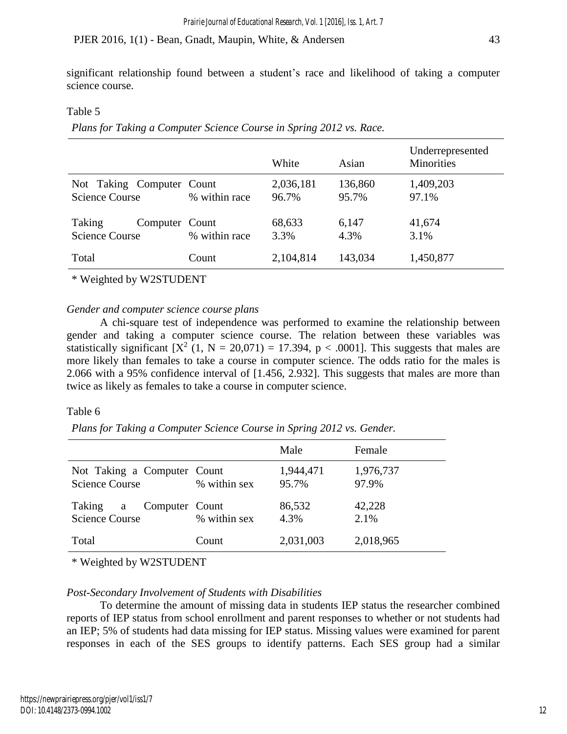significant relationship found between a student's race and likelihood of taking a computer science course.

# Table 5

*Plans for Taking a Computer Science Course in Spring 2012 vs. Race.*

|                                                    |               | White              | Asian            | Underrepresented<br><b>Minorities</b> |
|----------------------------------------------------|---------------|--------------------|------------------|---------------------------------------|
| Not Taking Computer Count<br><b>Science Course</b> | % within race | 2,036,181<br>96.7% | 136,860<br>95.7% | 1,409,203<br>97.1%                    |
| Taking<br>Computer Count<br><b>Science Course</b>  | % within race | 68,633<br>3.3%     | 6,147<br>4.3%    | 41,674<br>3.1%                        |
| Total                                              | Count         | 2,104,814          | 143,034          | 1,450,877                             |

\* Weighted by W2STUDENT

# *Gender and computer science course plans*

A chi-square test of independence was performed to examine the relationship between gender and taking a computer science course. The relation between these variables was statistically significant  $[X^2 (1, N = 20,071) = 17.394, p < .0001]$ . This suggests that males are more likely than females to take a course in computer science. The odds ratio for the males is 2.066 with a 95% confidence interval of [1.456, 2.932]. This suggests that males are more than twice as likely as females to take a course in computer science.

# Table 6

*Plans for Taking a Computer Science Course in Spring 2012 vs. Gender.*

|                                                      |              | Male               | Female             |
|------------------------------------------------------|--------------|--------------------|--------------------|
| Not Taking a Computer Count<br><b>Science Course</b> | % within sex | 1,944,471<br>95.7% | 1,976,737<br>97.9% |
| Taking a<br>Computer Count<br><b>Science Course</b>  | % within sex | 86,532<br>4.3%     | 42,228<br>2.1%     |
| Total                                                | Count        | 2,031,003          | 2,018,965          |

\* Weighted by W2STUDENT

# *Post-Secondary Involvement of Students with Disabilities*

To determine the amount of missing data in students IEP status the researcher combined reports of IEP status from school enrollment and parent responses to whether or not students had an IEP; 5% of students had data missing for IEP status. Missing values were examined for parent responses in each of the SES groups to identify patterns. Each SES group had a similar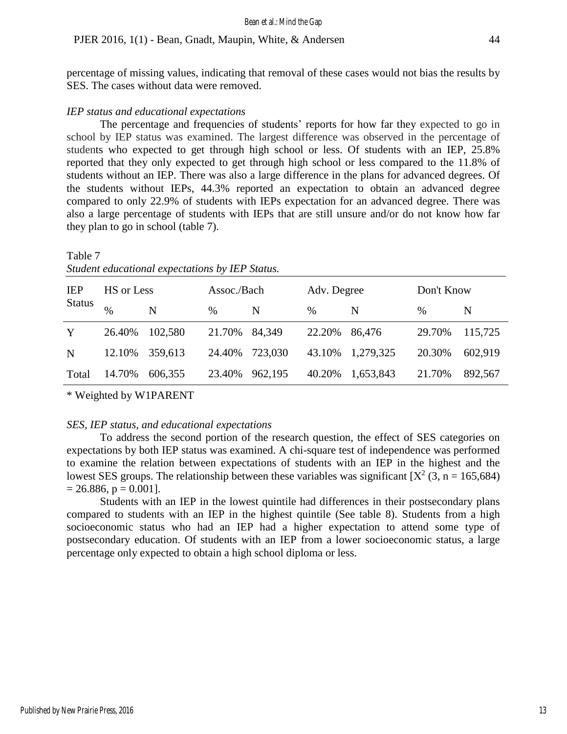percentage of missing values, indicating that removal of these cases would not bias the results by SES. The cases without data were removed.

#### *IEP status and educational expectations*

The percentage and frequencies of students' reports for how far they expected to go in school by IEP status was examined. The largest difference was observed in the percentage of students who expected to get through high school or less. Of students with an IEP, 25.8% reported that they only expected to get through high school or less compared to the 11.8% of students without an IEP. There was also a large difference in the plans for advanced degrees. Of the students without IEPs, 44.3% reported an expectation to obtain an advanced degree compared to only 22.9% of students with IEPs expectation for an advanced degree. There was also a large percentage of students with IEPs that are still unsure and/or do not know how far they plan to go in school (table 7).

# Table 7 *Student educational expectations by IEP Status.*

| <b>IEP</b>    | HS or Less    |         | Assoc./Bach |         | Adv. Degree |           | Don't Know |         |
|---------------|---------------|---------|-------------|---------|-------------|-----------|------------|---------|
| <b>Status</b> | $\frac{0}{0}$ | N       | $\%$        | N       | %           | N         | $\%$       | N       |
| Y             | 26.40%        | 102.580 | 21.70%      | 84.349  | 22.20%      | 86,476    | 29.70%     | 115,725 |
| N             | 12.10%        | 359,613 | 24.40%      | 723,030 | 43.10%      | 1,279,325 | 20.30%     | 602,919 |
| Total         | 14.70%        | 606,355 | 23.40%      | 962,195 | 40.20%      | 1,653,843 | 21.70%     | 892,567 |

\* Weighted by W1PARENT

#### *SES, IEP status, and educational expectations*

To address the second portion of the research question, the effect of SES categories on expectations by both IEP status was examined. A chi-square test of independence was performed to examine the relation between expectations of students with an IEP in the highest and the lowest SES groups. The relationship between these variables was significant [ $X^2$  (3, n = 165,684)  $= 26.886$ ,  $p = 0.001$ ].

Students with an IEP in the lowest quintile had differences in their postsecondary plans compared to students with an IEP in the highest quintile (See table 8). Students from a high socioeconomic status who had an IEP had a higher expectation to attend some type of postsecondary education. Of students with an IEP from a lower socioeconomic status, a large percentage only expected to obtain a high school diploma or less.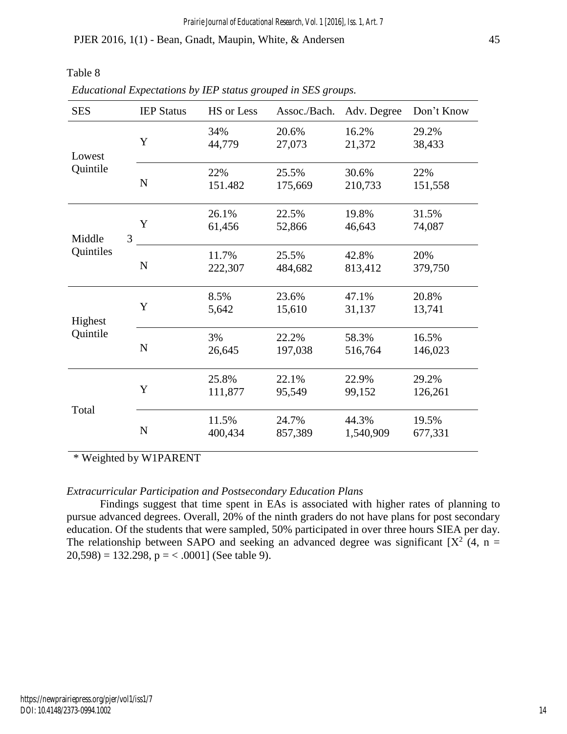Table 8

| <b>SES</b>     | <b>IEP Status</b> | HS or Less       | Assoc./Bach.     | Adv. Degree        | Don't Know       |
|----------------|-------------------|------------------|------------------|--------------------|------------------|
| Lowest         | Y                 | 34%<br>44,779    | 20.6%<br>27,073  | 16.2%<br>21,372    | 29.2%<br>38,433  |
| Quintile       | ${\bf N}$         | 22%<br>151.482   | 25.5%<br>175,669 | 30.6%<br>210,733   | 22%<br>151,558   |
| 3<br>Middle    | Y                 | 26.1%<br>61,456  | 22.5%<br>52,866  | 19.8%<br>46,643    | 31.5%<br>74,087  |
| Quintiles<br>N |                   | 11.7%<br>222,307 | 25.5%<br>484,682 | 42.8%<br>813,412   | 20%<br>379,750   |
| Highest        | Y                 | 8.5%<br>5,642    | 23.6%<br>15,610  | 47.1%<br>31,137    | 20.8%<br>13,741  |
| Quintile       | ${\bf N}$         | 3%<br>26,645     | 22.2%<br>197,038 | 58.3%<br>516,764   | 16.5%<br>146,023 |
| Total          | Y                 | 25.8%<br>111,877 | 22.1%<br>95,549  | 22.9%<br>99,152    | 29.2%<br>126,261 |
|                | ${\bf N}$         | 11.5%<br>400,434 | 24.7%<br>857,389 | 44.3%<br>1,540,909 | 19.5%<br>677,331 |

*Educational Expectations by IEP status grouped in SES groups.*

\* Weighted by W1PARENT

# *Extracurricular Participation and Postsecondary Education Plans*

Findings suggest that time spent in EAs is associated with higher rates of planning to pursue advanced degrees. Overall, 20% of the ninth graders do not have plans for post secondary education. Of the students that were sampled, 50% participated in over three hours SIEA per day. The relationship between SAPO and seeking an advanced degree was significant [ $X^2$  (4, n =  $20,598$ ) = 132.298, p = < .0001] (See table 9).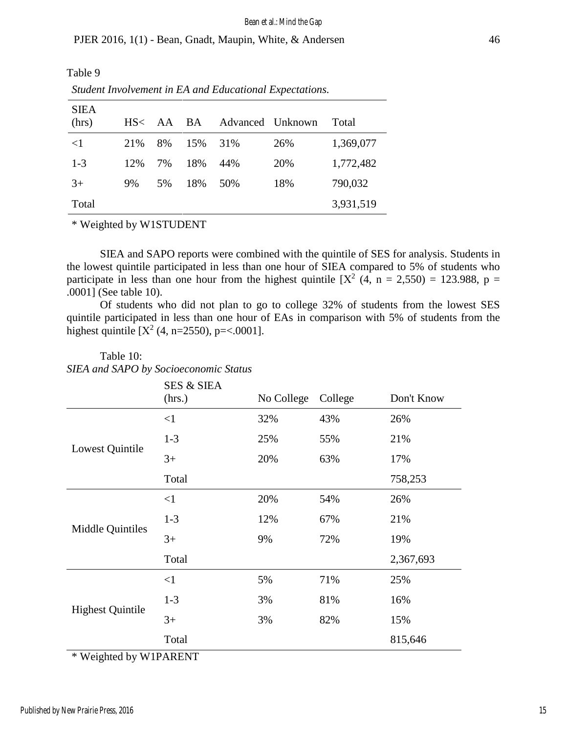Table 9

*Student Involvement in EA and Educational Expectations.*

| <b>SIEA</b><br>(hrs) | HS< | AA | BA  | Advanced Unknown |     | Total     |
|----------------------|-----|----|-----|------------------|-----|-----------|
| $\leq$ 1             | 21% | 8% | 15% | 31%              | 26% | 1,369,077 |
| $1 - 3$              | 12% | 7% | 18% | 44%              | 20% | 1,772,482 |
| $3+$                 | 9%  | 5% | 18% | 50%              | 18% | 790,032   |
| Total                |     |    |     |                  |     | 3,931,519 |

\* Weighted by W1STUDENT

SIEA and SAPO reports were combined with the quintile of SES for analysis. Students in the lowest quintile participated in less than one hour of SIEA compared to 5% of students who participate in less than one hour from the highest quintile  $[X^2 (4, n = 2,550) = 123.988, p =$ .0001] (See table 10).

Of students who did not plan to go to college 32% of students from the lowest SES quintile participated in less than one hour of EAs in comparison with 5% of students from the highest quintile  $[X^2 (4, n=2550), p=<.0001]$ .

|                         | <b>SES &amp; SIEA</b><br>(hrs.) | No College | College | Don't Know |
|-------------------------|---------------------------------|------------|---------|------------|
|                         | $\leq$ 1                        | 32%        | 43%     | 26%        |
|                         | $1 - 3$                         | 25%        | 55%     | 21%        |
| Lowest Quintile         | $3+$                            | 20%        | 63%     | 17%        |
|                         | Total                           |            |         | 758,253    |
|                         | <1                              | 20%        | 54%     | 26%        |
|                         | $1 - 3$                         | 12%        | 67%     | 21%        |
| Middle Quintiles        | $3+$                            | 9%         | 72%     | 19%        |
|                         | Total                           |            |         | 2,367,693  |
|                         | $\leq$ 1                        | 5%         | 71%     | 25%        |
| <b>Highest Quintile</b> | $1-3$                           | 3%         | 81%     | 16%        |
|                         | $3+$                            | 3%         | 82%     | 15%        |
|                         | Total                           |            |         | 815,646    |

# Table 10: *SIEA and SAPO by Socioeconomic Status*

\* Weighted by W1PARENT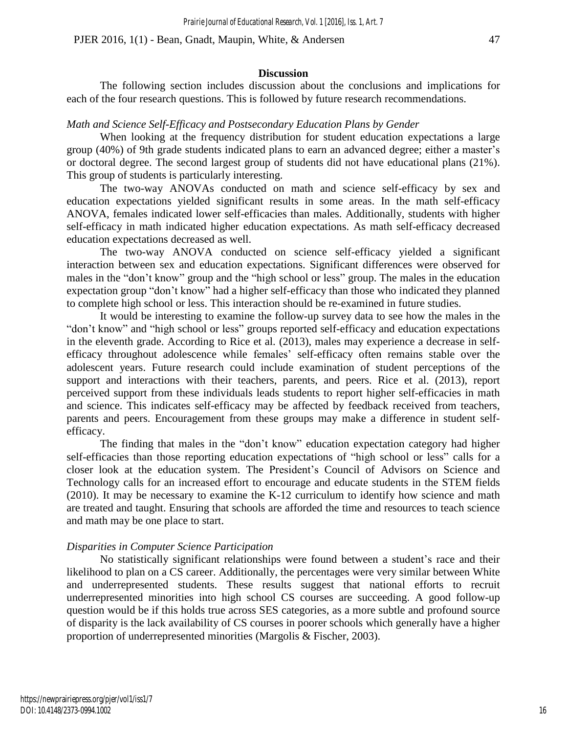### **Discussion**

The following section includes discussion about the conclusions and implications for each of the four research questions. This is followed by future research recommendations.

# *Math and Science Self-Efficacy and Postsecondary Education Plans by Gender*

When looking at the frequency distribution for student education expectations a large group (40%) of 9th grade students indicated plans to earn an advanced degree; either a master's or doctoral degree. The second largest group of students did not have educational plans (21%). This group of students is particularly interesting.

The two-way ANOVAs conducted on math and science self-efficacy by sex and education expectations yielded significant results in some areas. In the math self-efficacy ANOVA, females indicated lower self-efficacies than males. Additionally, students with higher self-efficacy in math indicated higher education expectations. As math self-efficacy decreased education expectations decreased as well.

The two-way ANOVA conducted on science self-efficacy yielded a significant interaction between sex and education expectations. Significant differences were observed for males in the "don't know" group and the "high school or less" group. The males in the education expectation group "don't know" had a higher self-efficacy than those who indicated they planned to complete high school or less. This interaction should be re-examined in future studies.

It would be interesting to examine the follow-up survey data to see how the males in the "don't know" and "high school or less" groups reported self-efficacy and education expectations in the eleventh grade. According to Rice et al. (2013), males may experience a decrease in selfefficacy throughout adolescence while females' self-efficacy often remains stable over the adolescent years. Future research could include examination of student perceptions of the support and interactions with their teachers, parents, and peers. Rice et al. (2013), report perceived support from these individuals leads students to report higher self-efficacies in math and science. This indicates self-efficacy may be affected by feedback received from teachers, parents and peers. Encouragement from these groups may make a difference in student selfefficacy.

The finding that males in the "don't know" education expectation category had higher self-efficacies than those reporting education expectations of "high school or less" calls for a closer look at the education system. The President's Council of Advisors on Science and Technology calls for an increased effort to encourage and educate students in the STEM fields (2010). It may be necessary to examine the K-12 curriculum to identify how science and math are treated and taught. Ensuring that schools are afforded the time and resources to teach science and math may be one place to start.

# *Disparities in Computer Science Participation*

No statistically significant relationships were found between a student's race and their likelihood to plan on a CS career. Additionally, the percentages were very similar between White and underrepresented students. These results suggest that national efforts to recruit underrepresented minorities into high school CS courses are succeeding. A good follow-up question would be if this holds true across SES categories, as a more subtle and profound source of disparity is the lack availability of CS courses in poorer schools which generally have a higher proportion of underrepresented minorities (Margolis & Fischer, 2003).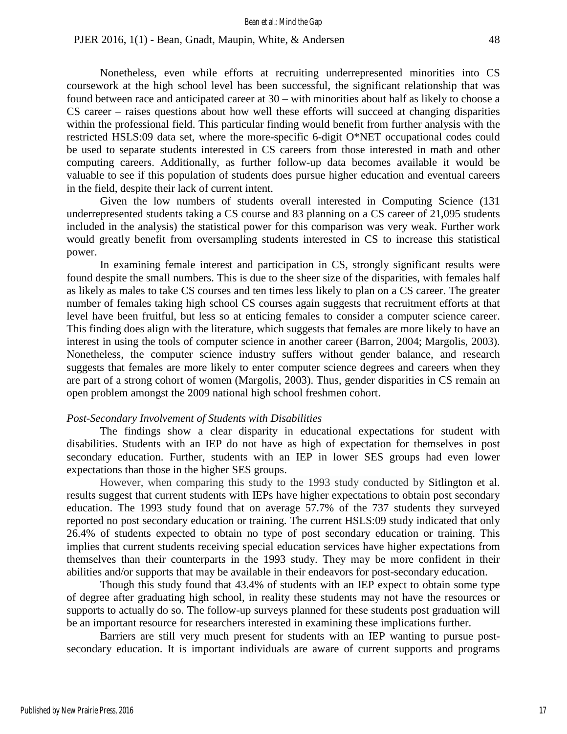Nonetheless, even while efforts at recruiting underrepresented minorities into CS coursework at the high school level has been successful, the significant relationship that was found between race and anticipated career at 30 – with minorities about half as likely to choose a CS career – raises questions about how well these efforts will succeed at changing disparities within the professional field. This particular finding would benefit from further analysis with the restricted HSLS:09 data set, where the more-specific 6-digit O\*NET occupational codes could be used to separate students interested in CS careers from those interested in math and other computing careers. Additionally, as further follow-up data becomes available it would be valuable to see if this population of students does pursue higher education and eventual careers in the field, despite their lack of current intent.

Given the low numbers of students overall interested in Computing Science (131 underrepresented students taking a CS course and 83 planning on a CS career of 21,095 students included in the analysis) the statistical power for this comparison was very weak. Further work would greatly benefit from oversampling students interested in CS to increase this statistical power.

In examining female interest and participation in CS, strongly significant results were found despite the small numbers. This is due to the sheer size of the disparities, with females half as likely as males to take CS courses and ten times less likely to plan on a CS career. The greater number of females taking high school CS courses again suggests that recruitment efforts at that level have been fruitful, but less so at enticing females to consider a computer science career. This finding does align with the literature, which suggests that females are more likely to have an interest in using the tools of computer science in another career (Barron, 2004; Margolis, 2003). Nonetheless, the computer science industry suffers without gender balance, and research suggests that females are more likely to enter computer science degrees and careers when they are part of a strong cohort of women (Margolis, 2003). Thus, gender disparities in CS remain an open problem amongst the 2009 national high school freshmen cohort.

#### *Post-Secondary Involvement of Students with Disabilities*

The findings show a clear disparity in educational expectations for student with disabilities. Students with an IEP do not have as high of expectation for themselves in post secondary education. Further, students with an IEP in lower SES groups had even lower expectations than those in the higher SES groups.

However, when comparing this study to the 1993 study conducted by Sitlington et al. results suggest that current students with IEPs have higher expectations to obtain post secondary education. The 1993 study found that on average 57.7% of the 737 students they surveyed reported no post secondary education or training. The current HSLS:09 study indicated that only 26.4% of students expected to obtain no type of post secondary education or training. This implies that current students receiving special education services have higher expectations from themselves than their counterparts in the 1993 study. They may be more confident in their abilities and/or supports that may be available in their endeavors for post-secondary education.

Though this study found that 43.4% of students with an IEP expect to obtain some type of degree after graduating high school, in reality these students may not have the resources or supports to actually do so. The follow-up surveys planned for these students post graduation will be an important resource for researchers interested in examining these implications further.

Barriers are still very much present for students with an IEP wanting to pursue postsecondary education. It is important individuals are aware of current supports and programs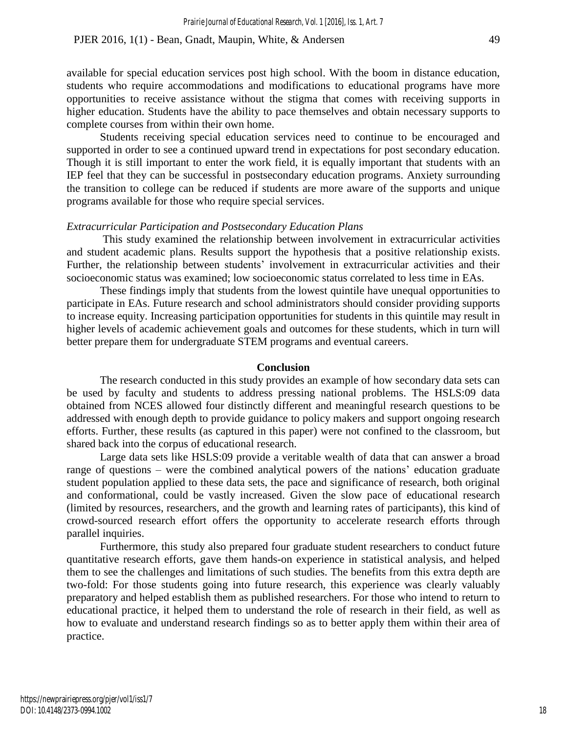available for special education services post high school. With the boom in distance education, students who require accommodations and modifications to educational programs have more opportunities to receive assistance without the stigma that comes with receiving supports in higher education. Students have the ability to pace themselves and obtain necessary supports to complete courses from within their own home.

Students receiving special education services need to continue to be encouraged and supported in order to see a continued upward trend in expectations for post secondary education. Though it is still important to enter the work field, it is equally important that students with an IEP feel that they can be successful in postsecondary education programs. Anxiety surrounding the transition to college can be reduced if students are more aware of the supports and unique programs available for those who require special services.

## *Extracurricular Participation and Postsecondary Education Plans*

This study examined the relationship between involvement in extracurricular activities and student academic plans. Results support the hypothesis that a positive relationship exists. Further, the relationship between students' involvement in extracurricular activities and their socioeconomic status was examined; low socioeconomic status correlated to less time in EAs.

These findings imply that students from the lowest quintile have unequal opportunities to participate in EAs. Future research and school administrators should consider providing supports to increase equity. Increasing participation opportunities for students in this quintile may result in higher levels of academic achievement goals and outcomes for these students, which in turn will better prepare them for undergraduate STEM programs and eventual careers.

#### **Conclusion**

The research conducted in this study provides an example of how secondary data sets can be used by faculty and students to address pressing national problems. The HSLS:09 data obtained from NCES allowed four distinctly different and meaningful research questions to be addressed with enough depth to provide guidance to policy makers and support ongoing research efforts. Further, these results (as captured in this paper) were not confined to the classroom, but shared back into the corpus of educational research.

Large data sets like HSLS:09 provide a veritable wealth of data that can answer a broad range of questions – were the combined analytical powers of the nations' education graduate student population applied to these data sets, the pace and significance of research, both original and conformational, could be vastly increased. Given the slow pace of educational research (limited by resources, researchers, and the growth and learning rates of participants), this kind of crowd-sourced research effort offers the opportunity to accelerate research efforts through parallel inquiries.

Furthermore, this study also prepared four graduate student researchers to conduct future quantitative research efforts, gave them hands-on experience in statistical analysis, and helped them to see the challenges and limitations of such studies. The benefits from this extra depth are two-fold: For those students going into future research, this experience was clearly valuably preparatory and helped establish them as published researchers. For those who intend to return to educational practice, it helped them to understand the role of research in their field, as well as how to evaluate and understand research findings so as to better apply them within their area of practice.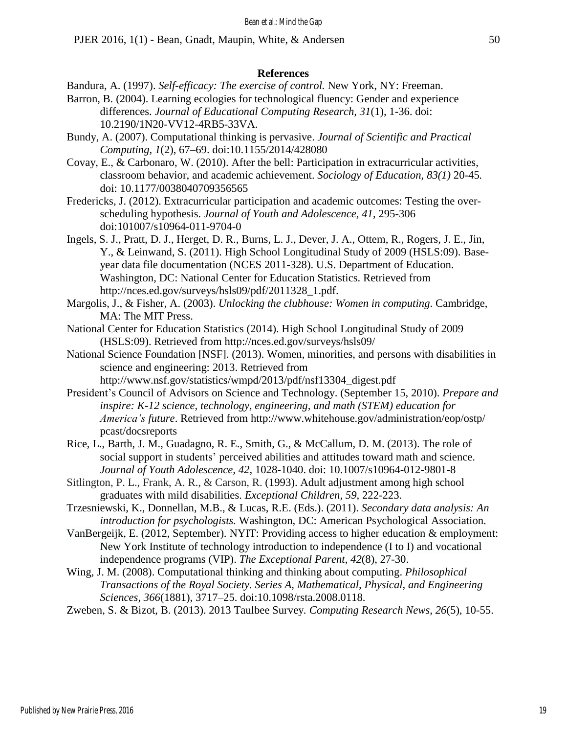#### **References**

- Bandura, A. (1997). *Self-efficacy: The exercise of control.* New York, NY: Freeman.
- Barron, B. (2004). Learning ecologies for technological fluency: Gender and experience differences. *Journal of Educational Computing Research, 31*(1), 1-36. doi: 10.2190/1N20-VV12-4RB5-33VA.
- Bundy, A. (2007). Computational thinking is pervasive. *Journal of Scientific and Practical Computing, 1*(2), 67–69. doi:10.1155/2014/428080
- Covay, E., & Carbonaro, W. (2010). After the bell: Participation in extracurricular activities, classroom behavior, and academic achievement. *Sociology of Education, 83(1)* 20-45*.* doi: 10.1177/0038040709356565

Fredericks, J. (2012). Extracurricular participation and academic outcomes: Testing the overscheduling hypothesis. *Journal of Youth and Adolescence, 41*, 295-306 doi:101007/s10964-011-9704-0

- Ingels, S. J., Pratt, D. J., Herget, D. R., Burns, L. J., Dever, J. A., Ottem, R., Rogers, J. E., Jin, Y., & Leinwand, S. (2011). High School Longitudinal Study of 2009 (HSLS:09). Baseyear data file documentation (NCES 2011-328). U.S. Department of Education. Washington, DC: National Center for Education Statistics. Retrieved from http://nces.ed.gov/surveys/hsls09/pdf/2011328\_1.pdf.
- Margolis, J., & Fisher, A. (2003). *Unlocking the clubhouse: Women in computing*. Cambridge, MA: The MIT Press.
- National Center for Education Statistics (2014). High School Longitudinal Study of 2009 (HSLS:09). Retrieved from http://nces.ed.gov/surveys/hsls09/
- National Science Foundation [NSF]. (2013). Women, minorities, and persons with disabilities in science and engineering: 2013. Retrieved fro[m](http://www.nsf.gov/statistics/wmpd/2013/pdf/nsf13304_digest.pdf)

http://www.nsf.gov/statistics/wmpd/2013/pdf/nsf13304\_digest.pdf

- President's Council of Advisors on Science and Technology. (September 15, 2010). *Prepare and inspire: K-12 science, technology, engineering, and math (STEM) education for America's future*. Retrieved from <http://www.whitehouse.gov/administration/eop/ostp/> pcast/docsreports
- Rice, L., Barth, J. M., Guadagno, R. E., Smith, G., & McCallum, D. M. (2013). The role of social support in students' perceived abilities and attitudes toward math and science. *Journal of Youth Adolescence, 42,* 1028-1040. doi: 10.1007/s10964-012-9801-8
- Sitlington, P. L., Frank, A. R., & Carson, R. (1993). Adult adjustment among high school graduates with mild disabilities. *Exceptional Children, 59*, 222-223.
- Trzesniewski, K., Donnellan, M.B., & Lucas, R.E. (Eds.). (2011). *Secondary data analysis: An introduction for psychologists.* Washington, DC: American Psychological Association.
- VanBergeijk, E. (2012, September). NYIT: Providing access to higher education & employment: New York Institute of technology introduction to independence (I to I) and vocational independence programs (VIP). *The Exceptional Parent*, *42*(8), 27-30.
- Wing, J. M. (2008). Computational thinking and thinking about computing. *Philosophical Transactions of the Royal Society. Series A, Mathematical, Physical, and Engineering Sciences*, *366*(1881), 3717–25. doi:10.1098/rsta.2008.0118.
- Zweben, S. & Bizot, B. (2013). 2013 Taulbee Survey*. Computing Research News, 26*(5), 10-55.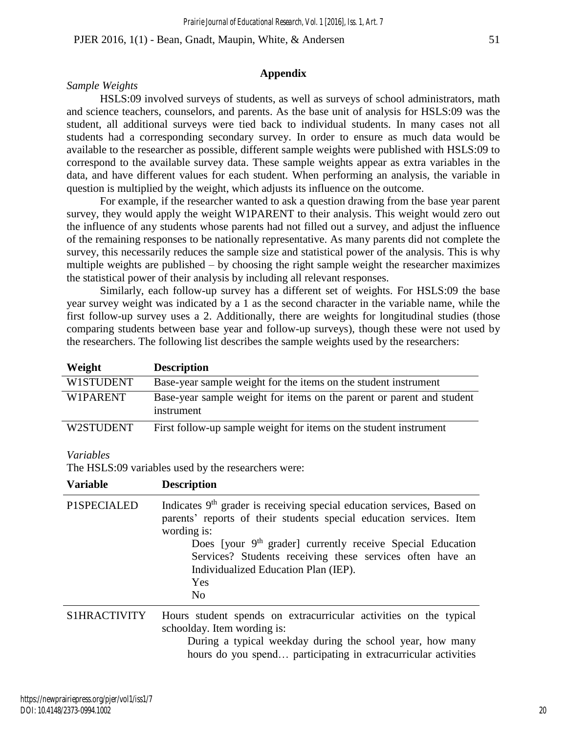# **Appendix**

# *Sample Weights*

HSLS:09 involved surveys of students, as well as surveys of school administrators, math and science teachers, counselors, and parents. As the base unit of analysis for HSLS:09 was the student, all additional surveys were tied back to individual students. In many cases not all students had a corresponding secondary survey. In order to ensure as much data would be available to the researcher as possible, different sample weights were published with HSLS:09 to correspond to the available survey data. These sample weights appear as extra variables in the data, and have different values for each student. When performing an analysis, the variable in question is multiplied by the weight, which adjusts its influence on the outcome.

For example, if the researcher wanted to ask a question drawing from the base year parent survey, they would apply the weight W1PARENT to their analysis. This weight would zero out the influence of any students whose parents had not filled out a survey, and adjust the influence of the remaining responses to be nationally representative. As many parents did not complete the survey, this necessarily reduces the sample size and statistical power of the analysis. This is why multiple weights are published – by choosing the right sample weight the researcher maximizes the statistical power of their analysis by including all relevant responses.

Similarly, each follow-up survey has a different set of weights. For HSLS:09 the base year survey weight was indicated by a 1 as the second character in the variable name, while the first follow-up survey uses a 2. Additionally, there are weights for longitudinal studies (those comparing students between base year and follow-up surveys), though these were not used by the researchers. The following list describes the sample weights used by the researchers:

| Weight    | <b>Description</b>                                                                  |
|-----------|-------------------------------------------------------------------------------------|
| W1STUDENT | Base-year sample weight for the items on the student instrument                     |
| W1PARENT  | Base-year sample weight for items on the parent or parent and student<br>instrument |
| W2STUDENT | First follow-up sample weight for items on the student instrument                   |

#### *Variables*

The HSLS:09 variables used by the researchers were:

| <b>Variable</b> | <b>Description</b>                                                                                                                                                                                                                                                                                                                                                     |
|-----------------|------------------------------------------------------------------------------------------------------------------------------------------------------------------------------------------------------------------------------------------------------------------------------------------------------------------------------------------------------------------------|
| P1SPECIALED     | Indicates $9th$ grader is receiving special education services, Based on<br>parents' reports of their students special education services. Item<br>wording is:<br>Does [your 9 <sup>th</sup> grader] currently receive Special Education<br>Services? Students receiving these services often have an<br>Individualized Education Plan (IEP).<br>Yes<br>N <sub>0</sub> |
| S1HRACTIVITY    | Hours student spends on extracurricular activities on the typical<br>schoolday. Item wording is:<br>During a typical weekday during the school year, how many<br>hours do you spend participating in extracurricular activities                                                                                                                                        |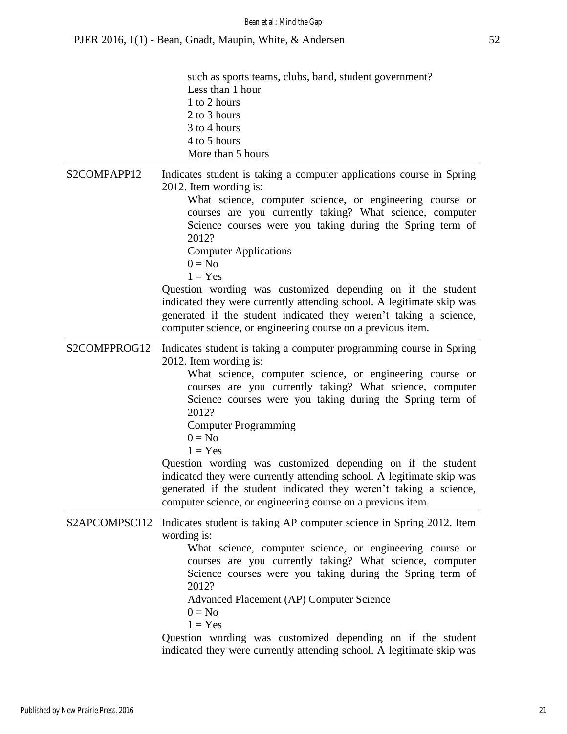|               | such as sports teams, clubs, band, student government?<br>Less than 1 hour<br>1 to 2 hours<br>2 to 3 hours<br>3 to 4 hours<br>4 to 5 hours<br>More than 5 hours                                                                                                                                                                                                                                                                                                                                                                                                                                                                 |
|---------------|---------------------------------------------------------------------------------------------------------------------------------------------------------------------------------------------------------------------------------------------------------------------------------------------------------------------------------------------------------------------------------------------------------------------------------------------------------------------------------------------------------------------------------------------------------------------------------------------------------------------------------|
| S2COMPAPP12   | Indicates student is taking a computer applications course in Spring<br>2012. Item wording is:<br>What science, computer science, or engineering course or<br>courses are you currently taking? What science, computer<br>Science courses were you taking during the Spring term of<br>2012?<br><b>Computer Applications</b><br>$0 = No$<br>$1 = Yes$                                                                                                                                                                                                                                                                           |
|               | Question wording was customized depending on if the student<br>indicated they were currently attending school. A legitimate skip was<br>generated if the student indicated they weren't taking a science,<br>computer science, or engineering course on a previous item.                                                                                                                                                                                                                                                                                                                                                        |
| S2COMPPROG12  | Indicates student is taking a computer programming course in Spring<br>2012. Item wording is:<br>What science, computer science, or engineering course or<br>courses are you currently taking? What science, computer<br>Science courses were you taking during the Spring term of<br>2012?<br><b>Computer Programming</b><br>$0 = No$<br>$1 = Yes$<br>Question wording was customized depending on if the student<br>indicated they were currently attending school. A legitimate skip was<br>generated if the student indicated they weren't taking a science,<br>computer science, or engineering course on a previous item. |
| S2APCOMPSCI12 | Indicates student is taking AP computer science in Spring 2012. Item<br>wording is:<br>What science, computer science, or engineering course or<br>courses are you currently taking? What science, computer<br>Science courses were you taking during the Spring term of<br>2012?<br>Advanced Placement (AP) Computer Science<br>$0 = No$<br>$1 = Yes$<br>Question wording was customized depending on if the student<br>indicated they were currently attending school. A legitimate skip was                                                                                                                                  |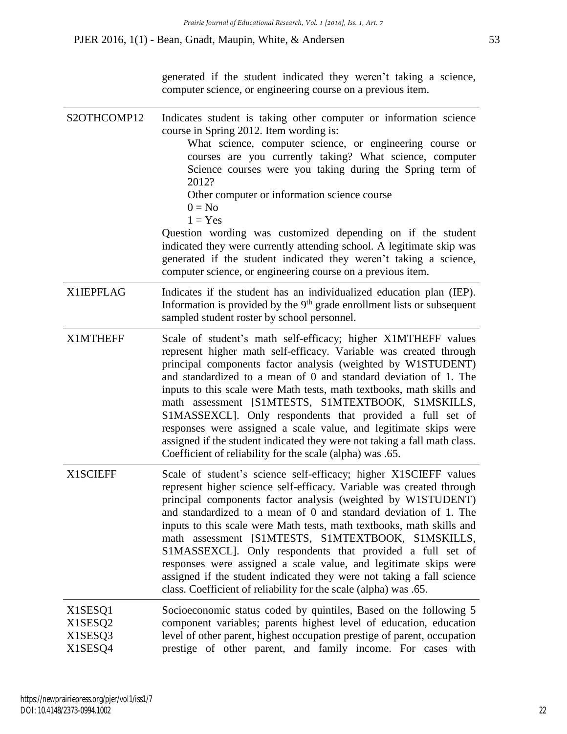generated if the student indicated they weren't taking a science, computer science, or engineering course on a previous item.

S2OTHCOMP12 Indicates student is taking other computer or information science course in Spring 2012. Item wording is: What science, computer science, or engineering course or courses are you currently taking? What science, computer Science courses were you taking during the Spring term of 2012? Other computer or information science course  $0 = No$  $1 = Yes$ Question wording was customized depending on if the student indicated they were currently attending school. A legitimate skip was generated if the student indicated they weren't taking a science, computer science, or engineering course on a previous item. X1IEPFLAG Indicates if the student has an individualized education plan (IEP). Information is provided by the  $9<sup>th</sup>$  grade enrollment lists or subsequent sampled student roster by school personnel. X1MTHEFF Scale of student's math self-efficacy; higher X1MTHEFF values represent higher math self-efficacy. Variable was created through principal components factor analysis (weighted by W1STUDENT) and standardized to a mean of 0 and standard deviation of 1. The inputs to this scale were Math tests, math textbooks, math skills and math assessment [S1MTESTS, S1MTEXTBOOK, S1MSKILLS, S1MASSEXCL]. Only respondents that provided a full set of responses were assigned a scale value, and legitimate skips were assigned if the student indicated they were not taking a fall math class. Coefficient of reliability for the scale (alpha) was .65. X1SCIEFF Scale of student's science self-efficacy; higher X1SCIEFF values represent higher science self-efficacy. Variable was created through principal components factor analysis (weighted by W1STUDENT) and standardized to a mean of 0 and standard deviation of 1. The inputs to this scale were Math tests, math textbooks, math skills and math assessment [S1MTESTS, S1MTEXTBOOK, S1MSKILLS, S1MASSEXCL]. Only respondents that provided a full set of responses were assigned a scale value, and legitimate skips were assigned if the student indicated they were not taking a fall science class. Coefficient of reliability for the scale (alpha) was .65. X1SESQ1 X1SESQ2 X1SESQ3 X1SESQ4 Socioeconomic status coded by quintiles, Based on the following 5 component variables; parents highest level of education, education level of other parent, highest occupation prestige of parent, occupation prestige of other parent, and family income. For cases with